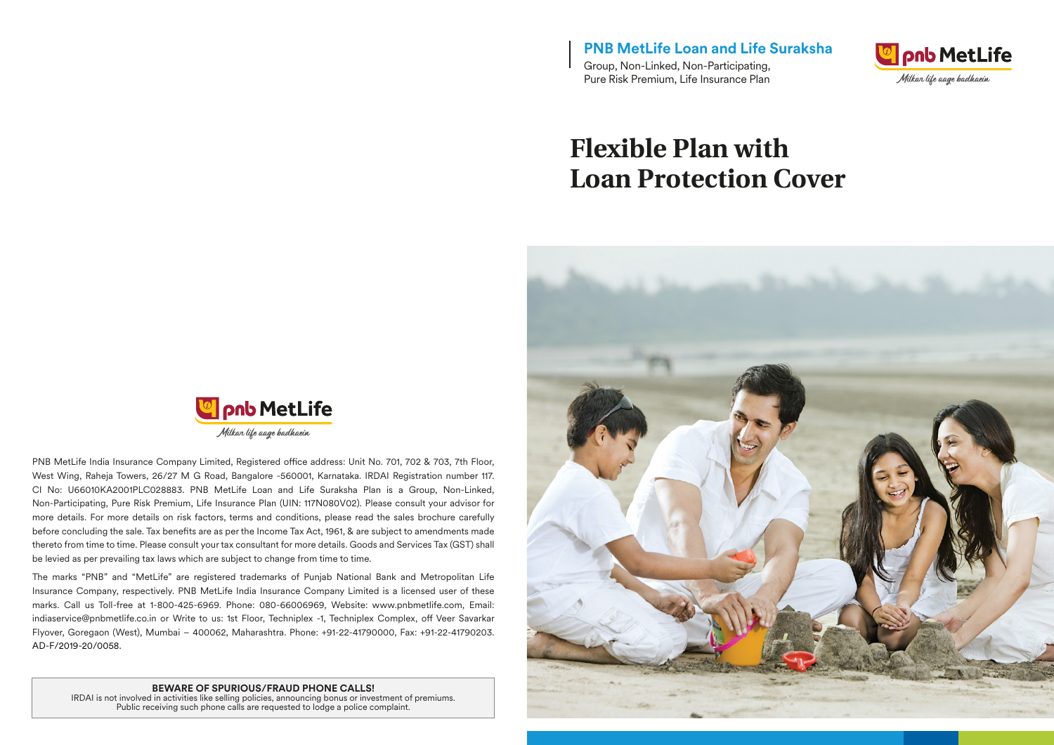**PNB MetLife Loan and Life Suraksha** Group, Non-Linked, Non-Participating, Pure Risk Premium, Life Insurance Plan



# **Flexible Plan with Loan Protection Cover**





PNB MetLife India Insurance Company Limited, Registered office address: Unit No. 701, 702 & 703, 7th Floor, West Wing, Raheja Towers, 26/27 M G Road, Bangalore -560001, Karnataka. IRDAI Registration number 117. CI No: U66010KA2001PLC028883. PNB MetLife Loan and Life Suraksha Plan is a Group, Non-Linked, Non-Participating, Pure Risk Premium, Life Insurance Plan (UIN: 117N080V02). Please consult your advisor for more details. For more details on risk factors, terms and conditions, please read the sales brochure carefully before concluding the sale. Tax benefits are as per the Income Tax Act, 1961, & are subject to amendments made thereto from time to time. Please consult your tax consultant for more details. Goods and Services Tax (GST) shall be levied as per prevailing tax laws which are subject to change from time to time.

The marks "PNB" and "MetLife" are registered trademarks of Punjab National Bank and Metropolitan Life Insurance Company, respectively. PNB MetLife India Insurance Company Limited is a licensed user of these marks. Call us Toll-free at 1-800-425-6969. Phone: 080-66006969, Website: www.pnbmetlife.com, Email: indiaservice@pnbmetlife.co.in or Write to us: 1st Floor, Techniplex -1, Techniplex Complex, off Veer Savarkar Flyover, Goregaon (West), Mumbai – 400062, Maharashtra. Phone: +91-22-41790000, Fax: +91-22-41790203. AD-F/2019-20/0058.

#### **BEWARE OF SPURIOUS/FRAUD PHONE CALLS!**

IRDAI is not involved in activities like selling policies, announcing bonus or investment of premiums. Public receiving such phone calls are requested to lodge a police complaint.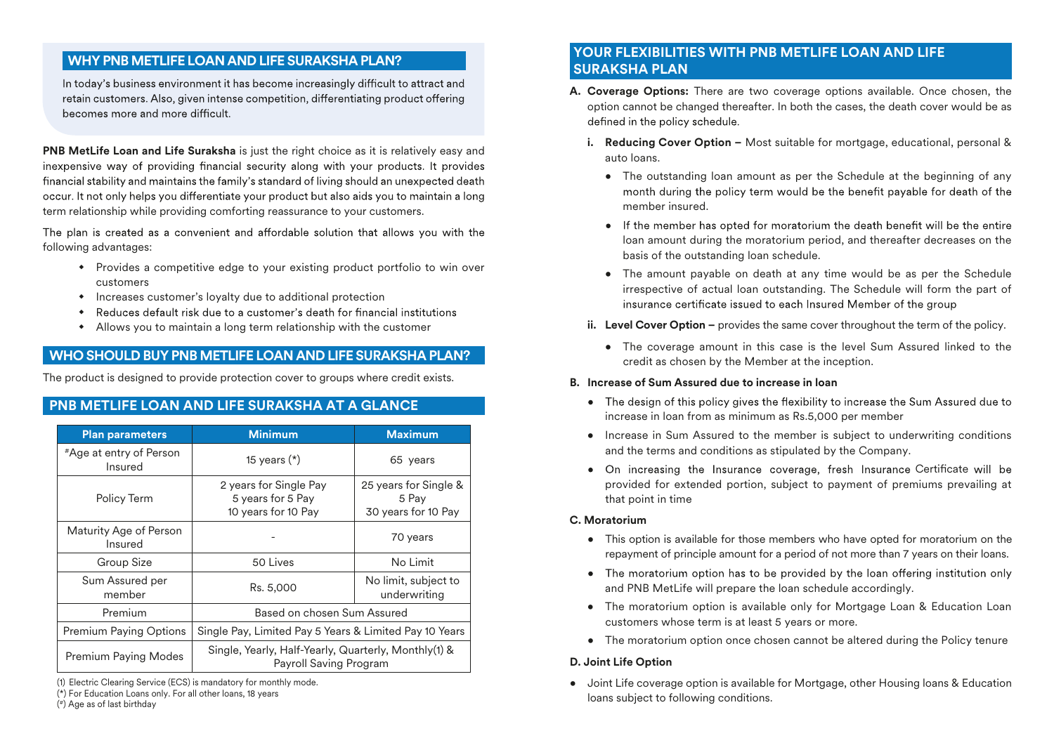# **WHY PNB METLIFE LOAN AND LIFE SURAKSHA PLAN?**

In today's business environment it has become increasingly difficult to attract and retain customers. Also, given intense competition, differentiating product offering becomes more and more difficult.

**PNB MetLife Loan and Life Suraksha** is just the right choice as it is relatively easy and inexpensive way of providing financial security along with your products. It provides financial stability and maintains the family's standard of living should an unexpected death occur. It not only helps you differentiate your product but also aids you to maintain a long term relationship while providing comforting reassurance to your customers.

The plan is created as a convenient and affordable solution that allows you with the following advantages:

- Provides a competitive edge to your existing product portfolio to win over customers
- $\bullet$  Increases customer's loyalty due to additional protection
- $\bullet$ Reduces default risk due to a customer's death for financial institutions
- $\bullet$  Allows you to maintain a long term relationship with the customer

# **WHO SHOULD BUY PNB METLIFE LOAN AND LIFE SURAKSHA PLAN?**

The product is designed to provide protection cover to groups where credit exists.

# **PNB METLIFE LOAN AND LIFE SURAKSHA AT A GLANCE**

| <b>Plan parameters</b>                           | <b>Minimum</b>                                                                 | <b>Maximum</b>                                        |  |
|--------------------------------------------------|--------------------------------------------------------------------------------|-------------------------------------------------------|--|
| <i><b>*Age at entry of Person</b></i><br>Insured | 15 years $(*)$                                                                 | 65 years                                              |  |
| Policy Term                                      | 2 years for Single Pay<br>5 years for 5 Pay<br>10 years for 10 Pay             | 25 years for Single &<br>5 Pay<br>30 years for 10 Pay |  |
| Maturity Age of Person<br>Insured                |                                                                                | 70 years                                              |  |
| Group Size                                       | 50 Lives                                                                       | No Limit                                              |  |
| Sum Assured per<br>member                        | Rs. 5,000                                                                      | No limit, subject to<br>underwriting                  |  |
| Premium                                          | Based on chosen Sum Assured                                                    |                                                       |  |
| <b>Premium Paying Options</b>                    | Single Pay, Limited Pay 5 Years & Limited Pay 10 Years                         |                                                       |  |
| Premium Paying Modes                             | Single, Yearly, Half-Yearly, Quarterly, Monthly(1) &<br>Payroll Saving Program |                                                       |  |

(1) Electric Clearing Service (ECS) is mandatory for monthly mode.

(\*) For Education Loans only. For all other loans, 18 years

( #) Age as of last birthday

## **YOUR FLEXIBILITIES WITH PNB METLIFE LOAN AND LIFE SURAKSHA PLAN**

- **A. Coverage Options:** There are two coverage options available. Once chosen, the option cannot be changed thereafter. In both the cases, the death cover would be as defined in the policy schedule.
	- **i. Reducing Cover Option –** Most suitable for mortgage, educational, personal & auto loans.
		- The outstanding loan amount as per the Schedule at the beginning of any month during the policy term would be the benefit payable for death of the member insured.
		- If the member has opted for moratorium the death benefit will be the entire loan amount during the moratorium period, and thereafter decreases on the basis of the outstanding loan schedule.
		- The amount payable on death at any time would be as per the Schedule irrespective of actual loan outstanding. The Schedule will form the part of insurance certificate issued to each Insured Member of the group
	- **ii.** Level Cover Option provides the same cover throughout the term of the policy.
		- The coverage amount in this case is the level Sum Assured linked to the credit as chosen by the Member at the inception.

## **B. Increase of Sum Assured due to increase in loan**

- The design of this policy gives the flexibility to increase the Sum Assured due to increase in loan from as minimum as Rs.5,000 per member
- Increase in Sum Assured to the member is subject to underwriting conditions and the terms and conditions as stipulated by the Company.
- provided for extended portion, subject to payment of premiums prevailing at that point in time • On increasing the Insurance coverage, fresh Insurance Certificate will be

## **C. Moratorium**

- This option is available for those members who have opted for moratorium on the repayment of principle amount for a period of not more than 7 years on their loans.
- The moratorium option has to be provided by the loan offering institution only and PNB MetLife will prepare the loan schedule accordingly.
- The moratorium option is available only for Mortgage Loan & Education Loan customers whose term is at least 5 years or more.
- The moratorium option once chosen cannot be altered during the Policy tenure

## **D. Joint Life Option**

• Joint Life coverage option is available for Mortgage, other Housing loans & Education loans subject to following conditions.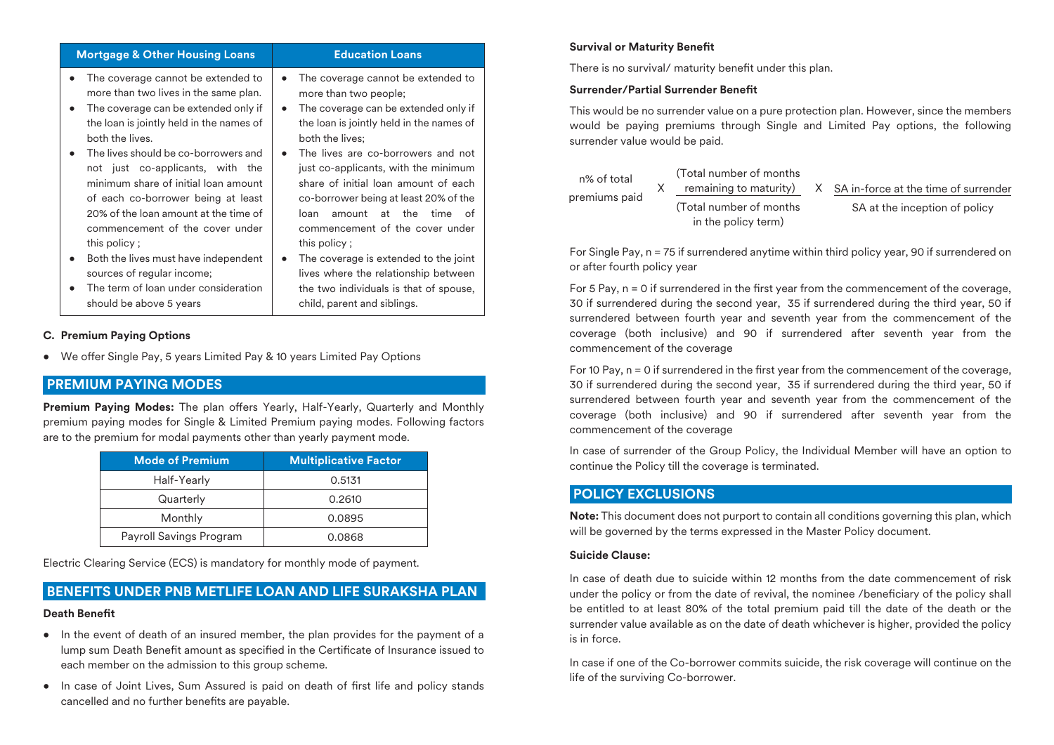| <b>Mortgage &amp; Other Housing Loans</b>                                                                                                                                                                                                                                                                                                                                                                                                                                                                                                                                                                        | <b>Education Loans</b>                                                                                                                                                                                                                                                                                                                                                                                                                                                                                                                                                                                                |  |  |
|------------------------------------------------------------------------------------------------------------------------------------------------------------------------------------------------------------------------------------------------------------------------------------------------------------------------------------------------------------------------------------------------------------------------------------------------------------------------------------------------------------------------------------------------------------------------------------------------------------------|-----------------------------------------------------------------------------------------------------------------------------------------------------------------------------------------------------------------------------------------------------------------------------------------------------------------------------------------------------------------------------------------------------------------------------------------------------------------------------------------------------------------------------------------------------------------------------------------------------------------------|--|--|
| The coverage cannot be extended to<br>٠<br>more than two lives in the same plan.<br>The coverage can be extended only if<br>$\bullet$<br>the loan is jointly held in the names of<br>both the lives.<br>The lives should be co-borrowers and<br>$\bullet$<br>not just co-applicants, with the<br>minimum share of initial loan amount<br>of each co-borrower being at least<br>20% of the loan amount at the time of<br>commencement of the cover under<br>this policy;<br>Both the lives must have independent<br>sources of regular income;<br>The term of loan under consideration<br>should be above 5 years | The coverage cannot be extended to<br>$\bullet$<br>more than two people;<br>The coverage can be extended only if<br>$\bullet$<br>the loan is jointly held in the names of<br>both the lives:<br>The lives are co-borrowers and not<br>just co-applicants, with the minimum<br>share of initial loan amount of each<br>co-borrower being at least 20% of the<br>loan<br>amount<br>the<br>time<br>Ωf<br>at<br>commencement of the cover under<br>this policy;<br>The coverage is extended to the joint<br>lives where the relationship between<br>the two individuals is that of spouse,<br>child, parent and siblings. |  |  |

#### **C. Premium Paying Options**

• We offer Single Pay, 5 years Limited Pay & 10 years Limited Pay Options

## **PREMIUM PAYING MODES**

Premium Paying Modes: The plan offers Yearly, Half-Yearly, Quarterly and Monthly premium paying modes for Single & Limited Premium paying modes. Following factors are to the premium for modal payments other than yearly payment mode.

| <b>Mode of Premium</b>  | <b>Multiplicative Factor</b> |  |  |
|-------------------------|------------------------------|--|--|
| Half-Yearly             | 0.5131                       |  |  |
| Quarterly               | 0.2610                       |  |  |
| Monthly                 | 0.0895                       |  |  |
| Payroll Savings Program | 0.0868                       |  |  |

Electric Clearing Service (ECS) is mandatory for monthly mode of payment.

# **BENEFITS UNDER PNB METLIFE LOAN AND LIFE SURAKSHA PLAN** Death **Benefit**

- In the event of death of an insured member, the plan provides for the payment of a lump sum Death Benefit amount as specified in the Certificate of Insurance issued to each member on the admission to this group scheme.
- In case of Joint Lives, Sum Assured is paid on death of first life and policy stands cancelled and no further benefits are payable.

#### **Survival or Maturity Benefit**

There is no survival/ maturity benefit under this plan.

#### **Surrender/Partial Surrender Benefit**

This would be no surrender value on a pure protection plan. However, since the members would be paying premiums through Single and Limited Pay options, the following surrender value would be paid.

|               | (Total number of months) |                     |                                        |
|---------------|--------------------------|---------------------|----------------------------------------|
|               | remaining to maturity)   |                     | X SA in-force at the time of surrender |
| premiums paid | (Total number of months) |                     | SA at the inception of policy          |
|               |                          | in the policy term) |                                        |

For Single Pay, n = 75 if surrendered anytime within third policy year, 90 if surrendered on or after fourth policy year

For 5 Pay,  $n = 0$  if surrendered in the first year from the commencement of the coverage, 30 if surrendered during the second year, 35 if surrendered during the third year, 50 if surrendered between fourth year and seventh year from the commencement of the coverage (both inclusive) and 90 if surrendered after seventh year from the commencement of the coverage

For 10 Pay,  $n = 0$  if surrendered in the first year from the commencement of the coverage, 30 if surrendered during the second year, 35 if surrendered during the third year, 50 if surrendered between fourth year and seventh year from the commencement of the coverage (both inclusive) and 90 if surrendered after seventh year from the commencement of the coverage

In case of surrender of the Group Policy, the Individual Member will have an option to continue the Policy till the coverage is terminated.

## **POLICY EXCLUSIONS**

**Note:** This document does not purport to contain all conditions governing this plan, which will be governed by the terms expressed in the Master Policy document.

#### **Suicide Clause:**

In case of death due to suicide within 12 months from the date commencement of risk under the policy or from the date of revival, the nominee /beneficiary of the policy shall be entitled to at least 80% of the total premium paid till the date of the death or the surrender value available as on the date of death whichever is higher, provided the policy is in force.

In case if one of the Co-borrower commits suicide, the risk coverage will continue on the life of the surviving Co-borrower.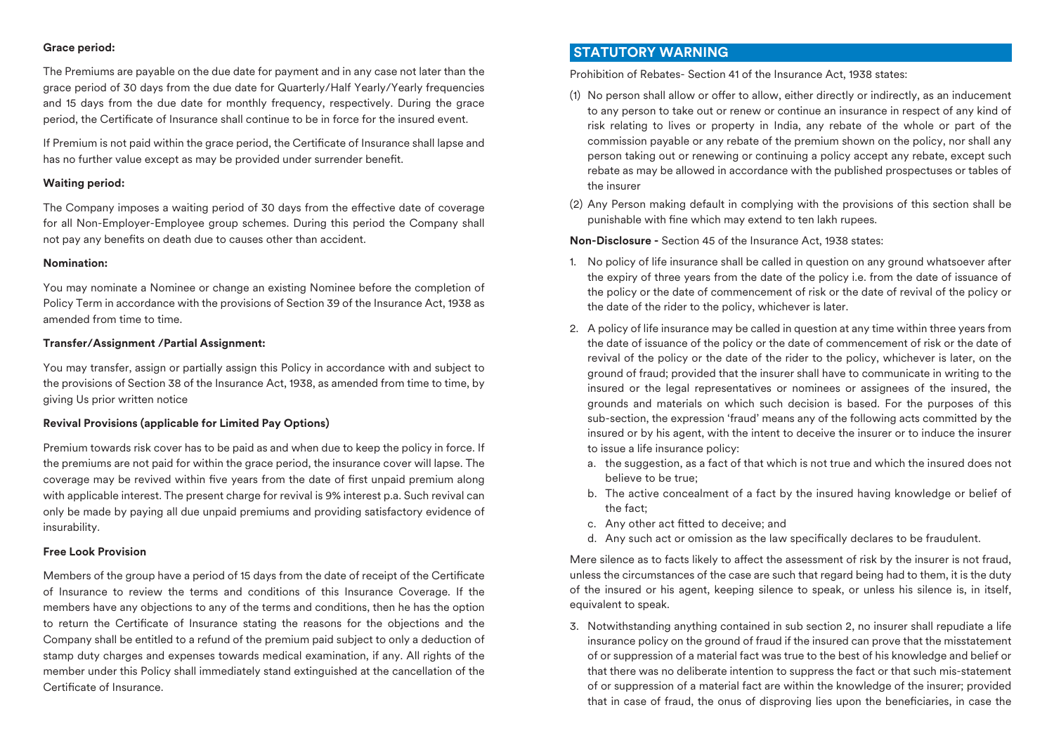### **Grace period:**

The Premiums are payable on the due date for payment and in any case not later than the grace period of 30 days from the due date for Quarterly/Half Yearly/Yearly frequencies and 15 days from the due date for monthly frequency, respectively. During the grace period, the Certificate of Insurance shall continue to be in force for the insured event.

If Premium is not paid within the grace period, the Certificate of Insurance shall lapse and has no further value except as may be provided under surrender benefit.

#### **Waiting period:**

The Company imposes a waiting period of 30 days from the effective date of coverage for all Non-Employer-Employee group schemes. During this period the Company shall not pay any benefits on death due to causes other than accident.

#### **Nomination:**

You may nominate a Nominee or change an existing Nominee before the completion of Policy Term in accordance with the provisions of Section 39 of the Insurance Act, 1938 as amended from time to time.

#### **Transfer/Assignment /Partial Assignment:**

You may transfer, assign or partially assign this Policy in accordance with and subject to the provisions of Section 38 of the Insurance Act, 1938, as amended from time to time, by giving Us prior written notice

#### **Revival Provisions (applicable for Limited Pay Options)**

Premium towards risk cover has to be paid as and when due to keep the policy in force. If the premiums are not paid for within the grace period, the insurance cover will lapse. The coverage may be revived within five years from the date of first unpaid premium along with applicable interest. The present charge for revival is 9% interest p.a. Such revival can only be made by paying all due unpaid premiums and providing satisfactory evidence of insurability.

#### **Free Look Provision**

Members of the group have a period of 15 days from the date of receipt of the Certificate of Insurance to review the terms and conditions of this Insurance Coverage. If the members have any objections to any of the terms and conditions, then he has the option to return the Certificate of Insurance stating the reasons for the objections and the Company shall be entitled to a refund of the premium paid subject to only a deduction of stamp duty charges and expenses towards medical examination, if any. All rights of the member under this Policy shall immediately stand extinguished at the cancellation of the Certificate of Insurance

## **STATUTORY WARNING**

Prohibition of Rebates- Section 41 of the Insurance Act, 1938 states:

- (1) No person shall allow or offer to allow, either directly or indirectly, as an inducement to any person to take out or renew or continue an insurance in respect of any kind of risk relating to lives or property in India, any rebate of the whole or part of the commission payable or any rebate of the premium shown on the policy, nor shall any person taking out or renewing or continuing a policy accept any rebate, except such rebate as may be allowed in accordance with the published prospectuses or tables of the insurer
- (2) Any Person making default in complying with the provisions of this section shall be punishable with fine which may extend to ten lakh rupees.

**Non-Disclosure -** Section 45 of the Insurance Act, 1938 states:

- 1. No policy of life insurance shall be called in question on any ground whatsoever after the expiry of three years from the date of the policy i.e. from the date of issuance of the policy or the date of commencement of risk or the date of revival of the policy or the date of the rider to the policy, whichever is later.
- 2. A policy of life insurance may be called in question at any time within three years from the date of issuance of the policy or the date of commencement of risk or the date of revival of the policy or the date of the rider to the policy, whichever is later, on the ground of fraud; provided that the insurer shall have to communicate in writing to the insured or the legal representatives or nominees or assignees of the insured, the grounds and materials on which such decision is based. For the purposes of this sub-section, the expression 'fraud' means any of the following acts committed by the insured or by his agent, with the intent to deceive the insurer or to induce the insurer to issue a life insurance policy:
	- a. the suggestion, as a fact of that which is not true and which the insured does not believe to be true;
	- b. The active concealment of a fact by the insured having knowledge or belief of the fact;
	- c. Any other act fitted to deceive: and
	- d. Any such act or omission as the law specifically declares to be fraudulent.

Mere silence as to facts likely to affect the assessment of risk by the insurer is not fraud, unless the circumstances of the case are such that regard being had to them, it is the duty of the insured or his agent, keeping silence to speak, or unless his silence is, in itself, equivalent to speak.

3. Notwithstanding anything contained in sub section 2, no insurer shall repudiate a life insurance policy on the ground of fraud if the insured can prove that the misstatement of or suppression of a material fact was true to the best of his knowledge and belief or that there was no deliberate intention to suppress the fact or that such mis-statement of or suppression of a material fact are within the knowledge of the insurer; provided that in case of fraud, the onus of disproving lies upon the beneficiaries, in case the